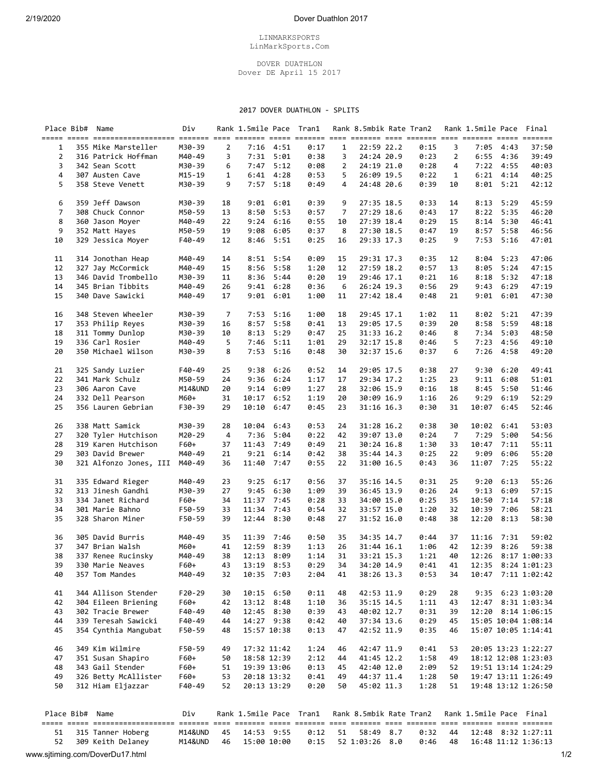## 2/19/2020 Dover Duathlon 2017

## LINMARKSPORTS LinMarkSports.Com

## DOVER DUATHLON Dover DE April 15 2017

## 2017 DOVER DUATHLON - SPLITS

|                 | Place Bib# Name                      | Div              |                | Rank 1.5mile Pace Tran1 |               |              |                | Rank 8.5mbik Rate Tran2  |              |                | Rank 1.5mile Pace       |                   | Final               |
|-----------------|--------------------------------------|------------------|----------------|-------------------------|---------------|--------------|----------------|--------------------------|--------------|----------------|-------------------------|-------------------|---------------------|
| 1               | 355 Mike Marsteller                  | M30-39           | $\overline{2}$ |                         | $7:16$ 4:51   | 0:17         | $\mathbf{1}$   | 22:59 22.2               | 0:15         | 3              |                         | $7:05$ 4:43       | 37:50               |
| 2               | 316 Patrick Hoffman                  | M40-49           | 3              |                         | $7:31$ $5:01$ | 0:38         | 3              | 24:24 20.9               | 0:23         | $\overline{2}$ | 6:55                    | 4:36              | 39:49               |
|                 |                                      |                  |                |                         |               |              |                |                          |              |                |                         |                   |                     |
| 3               | 342 Sean Scott                       | M30-39           | 6              | 7:47                    | 5:12          | 0:08         | 2              | 24:19 21.0               | 0:28         | 4              |                         | 7:22 4:55         | 40:03               |
| 4               | 307 Austen Cave                      | $M15 - 19$       | 1              |                         | $6:41$ $4:28$ | 0:53         | 5              | 26:09 19.5               | 0:22         | 1              |                         | $6:21$ $4:14$     | 40:25               |
| 5               | 358 Steve Venett                     | M30-39           | 9              |                         | $7:57$ $5:18$ | 0:49         | 4              | 24:48 20.6               | 0:39         | 10             | 8:01                    | 5:21              | 42:12               |
| 6               | 359 Jeff Dawson                      | M30-39           | 18             | 9:01                    | 6:01          | 0:39         | 9              | 27:35 18.5               | 0:33         | 14             |                         | $8:13$ 5:29       | 45:59               |
| $\overline{7}$  | 308 Chuck Connor                     | M50-59           | 13             | 8:50                    | 5:53          | 0:57         | $\overline{7}$ | 27:29 18.6               | 0:43         | 17             | 8:22                    | 5:35              | 46:20               |
| 8               | 360 Jason Moyer                      | M40-49           | 22             | 9:24                    | 6:16          | 0:55         | 10             | 27:39 18.4               | 0:29         | 15             |                         | $8:14$ 5:30       | 46:41               |
| 9               | 352 Matt Hayes                       |                  |                |                         |               |              |                |                          |              |                |                         |                   |                     |
| 10              | 329 Jessica Moyer                    | M50-59<br>F40-49 | 19<br>12       | 9:08<br>8:46            | 6:05<br>5:51  | 0:37<br>0:25 | 8<br>16        | 27:30 18.5<br>29:33 17.3 | 0:47<br>0:25 | 19<br>9        | 7:53                    | 8:57 5:58<br>5:16 | 46:56<br>47:01      |
|                 |                                      |                  |                |                         |               |              |                |                          |              |                |                         |                   |                     |
| 11              | 314 Jonothan Heap                    | M40-49           | 14             | 8:51                    | 5:54          | 0:09         | 15             | 29:31 17.3               | 0:35         | 12             | 8:04                    | 5:23              | 47:06               |
| 12              | 327 Jay McCormick                    | M40-49           | 15             | 8:56                    | 5:58          | 1:20         | 12             | 27:59 18.2               | 0:57         | 13             | 8:05                    | 5:24              | 47:15               |
| 13              | 346 David Trombello                  | M30-39           | 11             | 8:36                    | 5:44          | 0:20         | 19             | 29:46 17.1               | 0:21         | 16             | 8:18                    | 5:32              | 47:18               |
| 14              | 345 Brian Tibbits                    | M40-49           | 26             | 9:41                    | 6:28          | 0:36         | 6              | 26:24 19.3               | 0:56         | 29             | 9:43                    | 6:29              | 47:19               |
| 15              | 340 Dave Sawicki                     | M40-49           | 17             | 9:01                    | 6:01          | 1:00         | 11             | 27:42 18.4               | 0:48         | 21             | 9:01                    | 6:01              | 47:30               |
| 16              | 348 Steven Wheeler                   | M30-39           | 7              | 7:53                    | 5:16          | 1:00         | 18             | 29:45 17.1               | 1:02         | 11             | 8:02                    | 5:21              | 47:39               |
| 17              | 353 Philip Reyes                     | M30-39           | 16             | 8:57                    | 5:58          | 0:41         | 13             | 29:05 17.5               | 0:39         | 20             | 8:58                    | 5:59              | 48:18               |
|                 | 311 Tommy Dunlop                     |                  |                | 8:13                    | 5:29          | 0:47         | 25             |                          | 0:46         | 8              |                         | 7:34 5:03         | 48:50               |
| 18              |                                      | M30-39           | 10             |                         |               |              |                | 31:33 16.2               |              |                |                         |                   |                     |
| 19              | 336 Carl Rosier                      | M40-49           | 5              | 7:46                    | 5:11          | 1:01         | 29             | 32:17 15.8               | 0:46         | 5              | 7:23                    | 4:56              | 49:10               |
| 20              | 350 Michael Wilson                   | M30-39           | 8              | 7:53                    | 5:16          | 0:48         | 30             | 32:37 15.6               | 0:37         | 6              | 7:26                    | 4:58              | 49:20               |
| 21              | 325 Sandy Luzier                     | F40-49           | 25             | 9:38                    | 6:26          | 0:52         | 14             | 29:05 17.5               | 0:38         | 27             | 9:30                    | 6:20              | 49:41               |
| 22              | 341 Mark Schulz                      | M50-59           | 24             | 9:36                    | 6:24          | 1:17         | 17             | 29:34 17.2               | 1:25         | 23             | 9:11                    | 6:08              | 51:01               |
| 23              | 306 Aaron Cave                       | M14&UND          | 20             | 9:14                    | 6:09          | 1:27         | 28             | 32:06 15.9               | 0:16         | 18             | 8:45                    | 5:50              | 51:46               |
| 24              | 332 Dell Pearson                     | M60+             | 31             | 10:17                   | 6:52          | 1:19         | 20             | 30:09 16.9               | 1:16         | 26             | 9:29                    | 6:19              | 52:29               |
|                 |                                      |                  |                |                         |               |              |                |                          |              |                |                         |                   |                     |
| 25              | 356 Lauren Gebrian                   | F30-39           | 29             | 10:10                   | 6:47          | 0:45         | 23             | 31:16 16.3               | 0:30         | 31             | 10:07                   | 6:45              | 52:46               |
| 26              | 338 Matt Samick                      | M30-39           | 28             | 10:04                   | 6:43          | 0:53         | 24             | 31:28 16.2               | 0:38         | 30             | 10:02 6:41              |                   | 53:03               |
| 27              | 320 Tyler Hutchison                  | M20-29           | 4              | 7:36                    | 5:04          | 0:22         | 42             | 39:07 13.0               | 0:24         | $\overline{7}$ | 7:29                    | 5:00              | 54:56               |
| 28              | 319 Karen Hutchison                  | F60+             | 37             | 11:43                   | 7:49          | 0:49         | 21             | 30:24 16.8               | 1:30         | 33             | 10:47                   | 7:11              | 55:11               |
| 29              | 303 David Brewer                     | M40-49           | 21             | 9:21                    | 6:14          | 0:42         | 38             | 35:44 14.3               | 0:25         | 22             | 9:09                    | 6:06              | 55:20               |
| 30              | 321 Alfonzo Jones, III               | M40-49           | 36             | 11:40                   | 7:47          | 0:55         | 22             | 31:00 16.5               | 0:43         | 36             | 11:07                   | 7:25              | 55:22               |
|                 |                                      |                  |                |                         |               |              |                |                          |              |                |                         |                   |                     |
| 31              | 335 Edward Rieger                    | M40-49           | 23             | 9:25                    | 6:17          | 0:56         | 37             | 35:16 14.5               | 0:31         | 25             | 9:20                    | 6:13              | 55:26               |
| 32              | 313 Jinesh Gandhi                    | M30-39           | 27             | 9:45                    | 6:30          | 1:09         | 39             | 36:45 13.9               | 0:26         | 24             | 9:13                    | 6:09              | 57:15               |
| 33              | 334 Janet Richard                    | F60+             | 34             | 11:37                   | 7:45          | 0:28         | 33             | 34:00 15.0               | 0:25         | 35             | 10:50                   | 7:14              | 57:18               |
| 34              | 301 Marie Bahno                      | F50-59           | 33             | 11:34                   | 7:43          | 0:54         | 32             | 33:57 15.0               | 1:20         | 32             | 10:39                   | 7:06              | 58:21               |
| 35              | 328 Sharon Miner                     | F50-59           | 39             | 12:44 8:30              |               | 0:48         | 27             | 31:52 16.0               | 0:48         | 38             | 12:20                   | 8:13              | 58:30               |
| 36              | 305 David Burris                     | M40-49           | 35             | 11:39                   | 7:46          | 0:50         | 35             | 34:35 14.7               | 0:44         | 37             | 11:16                   | 7:31              | 59:02               |
| 37              | 347 Brian Walsh                      | M60+             | 41             | 12:59                   | 8:39          | 1:13         | 26             | 31:44 16.1               | 1:06         | 42             | 12:39                   | 8:26              | 59:38               |
| 38              | 337 Renee Rucinsky                   | M40-49           | 38             | 12:13 8:09              |               | 1:14         | 31             | 33:21 15.3               | 1:21         | 40             |                         |                   | 12:26 8:17 1:00:33  |
| 39              |                                      |                  |                |                         |               |              |                |                          |              |                |                         |                   |                     |
|                 | 330 Marie Neaves                     | F60+             | 43             | 13:19 8:53              |               | 0:29         | 34             | 34:20 14.9               | 0:41         | 41             |                         |                   | 12:35 8:24 1:01:23  |
| 40              | 357 Tom Mandes                       | M40-49           | 32             | 10:35 7:03              |               | 2:04         | 41             | 38:26 13.3               | 0:53         | 34             |                         |                   | 10:47 7:11 1:02:42  |
| 41              | 344 Allison Stender                  | $F20-29$         | 30             | 10:15 6:50              |               | 0:11         | 48             | 42:53 11.9               | 0:29         | 28             |                         |                   | 9:35 6:23 1:03:20   |
| 42              | 304 Eileen Briening                  | F60+             | 42             | 13:12 8:48              |               | 1:10         | 36             | 35:15 14.5               | 1:11         | 43             |                         |                   | 12:47 8:31 1:03:34  |
| 43              | 302 Tracie Brewer                    | F40-49           | 40             | 12:45 8:30              |               | 0:39         | 43             | 40:02 12.7               | 0:31         | 39             |                         |                   | 12:20 8:14 1:06:15  |
| 44              | 339 Teresah Sawicki                  | F40-49           | 44             | 14:27 9:38              |               | 0:42         | 40             | 37:34 13.6               | 0:29         | 45             |                         |                   | 15:05 10:04 1:08:14 |
| 45              | 354 Cynthia Mangubat                 | F50-59           | 48             | 15:57 10:38             |               | 0:13         | 47             | 42:52 11.9               | 0:35         | 46             |                         |                   | 15:07 10:05 1:14:41 |
|                 |                                      | F50-59           |                |                         |               |              |                |                          |              |                |                         |                   |                     |
| 46              | 349 Kim Wilmire<br>351 Susan Shapiro |                  | 49             | 17:32 11:42             |               | 1:24         | 46             | 42:47 11.9               | 0:41         | 53             |                         |                   | 20:05 13:23 1:22:27 |
| 47              |                                      | F60+             | 50             | 18:58 12:39             |               | 2:12         | 44             | 41:45 12.2               | 1:58         | 49             |                         |                   | 18:12 12:08 1:23:03 |
| 48              | 343 Gail Stender                     | F60+             | 51             | 19:39 13:06             |               | 0:13         | 45             | 42:40 12.0               | 2:09         | 52             |                         |                   | 19:51 13:14 1:24:29 |
| 49              | 326 Betty McAllister                 | $F60+$           | 53             | 20:18 13:32             |               | 0:41         | 49             | 44:37 11.4               | 1:28         | 50             |                         |                   | 19:47 13:11 1:26:49 |
| 50              | 312 Hiam Eljazzar                    | F40-49           | 52             | 20:13 13:29             |               | 0:20         | 50             | 45:02 11.3               | 1:28         | 51             |                         |                   | 19:48 13:12 1:26:50 |
|                 |                                      |                  |                |                         |               |              |                | Rank 8.5mbik Rate Tran2  |              |                | Rank 1.5mile Pace Final |                   |                     |
|                 |                                      |                  |                |                         |               |              |                |                          |              |                |                         |                   |                     |
| Place Bib# Name |                                      | Div              |                | Rank 1.5mile Pace Tran1 |               |              |                |                          |              |                |                         |                   |                     |
| 51<br>52        | 315 Tanner Hoberg                    | M14&UND          | 45             | 14:53 9:55              |               | 0:12<br>0:15 | 51             | 58:49 8.7                | 0:32         | 44             |                         |                   | 12:48 8:32 1:27:11  |